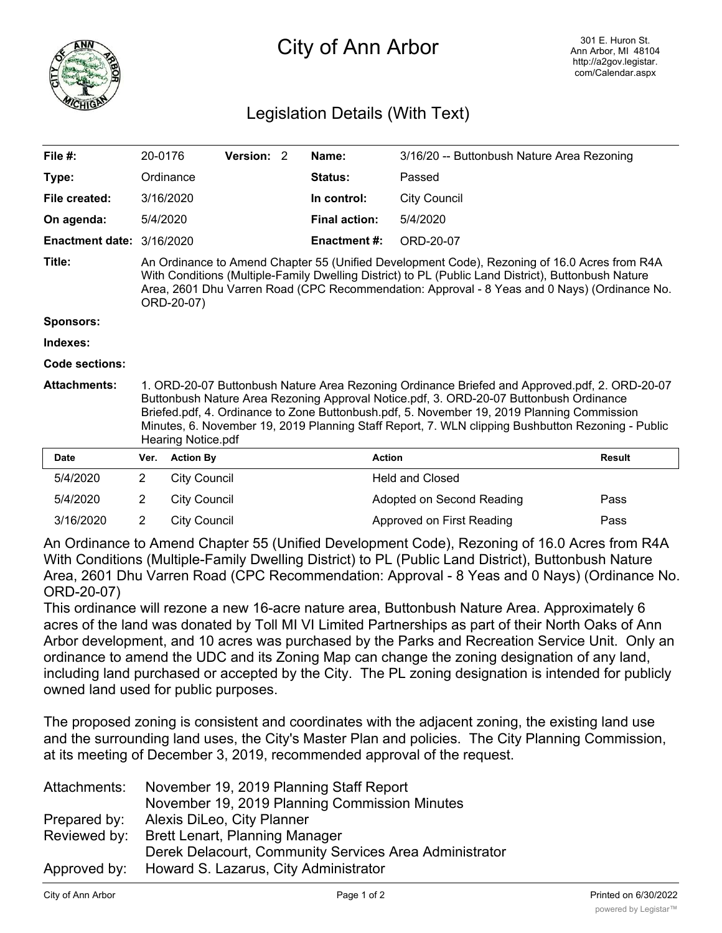

## City of Ann Arbor

## Legislation Details (With Text)

| File $#$ :                       | 20-0176                                                                                                                                                                                                                                                                                                           |                                                                                                                                                                                                                                                                                                                                                                                                                         | Version: 2 |  | Name:                | 3/16/20 -- Buttonbush Nature Area Rezoning |               |
|----------------------------------|-------------------------------------------------------------------------------------------------------------------------------------------------------------------------------------------------------------------------------------------------------------------------------------------------------------------|-------------------------------------------------------------------------------------------------------------------------------------------------------------------------------------------------------------------------------------------------------------------------------------------------------------------------------------------------------------------------------------------------------------------------|------------|--|----------------------|--------------------------------------------|---------------|
| Type:                            |                                                                                                                                                                                                                                                                                                                   | Ordinance                                                                                                                                                                                                                                                                                                                                                                                                               |            |  | <b>Status:</b>       | Passed                                     |               |
| File created:                    |                                                                                                                                                                                                                                                                                                                   | 3/16/2020                                                                                                                                                                                                                                                                                                                                                                                                               |            |  | In control:          | <b>City Council</b>                        |               |
| On agenda:                       | 5/4/2020                                                                                                                                                                                                                                                                                                          |                                                                                                                                                                                                                                                                                                                                                                                                                         |            |  | <b>Final action:</b> | 5/4/2020                                   |               |
| <b>Enactment date: 3/16/2020</b> |                                                                                                                                                                                                                                                                                                                   |                                                                                                                                                                                                                                                                                                                                                                                                                         |            |  | <b>Enactment #:</b>  | ORD-20-07                                  |               |
| Title:                           | An Ordinance to Amend Chapter 55 (Unified Development Code), Rezoning of 16.0 Acres from R4A<br>With Conditions (Multiple-Family Dwelling District) to PL (Public Land District), Buttonbush Nature<br>Area, 2601 Dhu Varren Road (CPC Recommendation: Approval - 8 Yeas and 0 Nays) (Ordinance No.<br>ORD-20-07) |                                                                                                                                                                                                                                                                                                                                                                                                                         |            |  |                      |                                            |               |
| Sponsors:                        |                                                                                                                                                                                                                                                                                                                   |                                                                                                                                                                                                                                                                                                                                                                                                                         |            |  |                      |                                            |               |
| Indexes:                         |                                                                                                                                                                                                                                                                                                                   |                                                                                                                                                                                                                                                                                                                                                                                                                         |            |  |                      |                                            |               |
| Code sections:                   |                                                                                                                                                                                                                                                                                                                   |                                                                                                                                                                                                                                                                                                                                                                                                                         |            |  |                      |                                            |               |
| <b>Attachments:</b>              |                                                                                                                                                                                                                                                                                                                   | 1. ORD-20-07 Buttonbush Nature Area Rezoning Ordinance Briefed and Approved.pdf, 2. ORD-20-07<br>Buttonbush Nature Area Rezoning Approval Notice.pdf, 3. ORD-20-07 Buttonbush Ordinance<br>Briefed.pdf, 4. Ordinance to Zone Buttonbush.pdf, 5. November 19, 2019 Planning Commission<br>Minutes, 6. November 19, 2019 Planning Staff Report, 7. WLN clipping Bushbutton Rezoning - Public<br><b>Hearing Notice.pdf</b> |            |  |                      |                                            |               |
| <b>Date</b>                      | Ver.                                                                                                                                                                                                                                                                                                              | <b>Action By</b>                                                                                                                                                                                                                                                                                                                                                                                                        |            |  | <b>Action</b>        |                                            | <b>Result</b> |
| 5/4/2020                         | $\overline{2}$                                                                                                                                                                                                                                                                                                    | <b>City Council</b>                                                                                                                                                                                                                                                                                                                                                                                                     |            |  |                      | <b>Held and Closed</b>                     |               |
| 5/4/2020                         | 2                                                                                                                                                                                                                                                                                                                 | <b>City Council</b>                                                                                                                                                                                                                                                                                                                                                                                                     |            |  |                      | Adopted on Second Reading                  | Pass          |
| 3/16/2020                        | 2                                                                                                                                                                                                                                                                                                                 | <b>City Council</b>                                                                                                                                                                                                                                                                                                                                                                                                     |            |  |                      | Approved on First Reading                  | Pass          |

An Ordinance to Amend Chapter 55 (Unified Development Code), Rezoning of 16.0 Acres from R4A With Conditions (Multiple-Family Dwelling District) to PL (Public Land District), Buttonbush Nature Area, 2601 Dhu Varren Road (CPC Recommendation: Approval - 8 Yeas and 0 Nays) (Ordinance No. ORD-20-07)

This ordinance will rezone a new 16-acre nature area, Buttonbush Nature Area. Approximately 6 acres of the land was donated by Toll MI VI Limited Partnerships as part of their North Oaks of Ann Arbor development, and 10 acres was purchased by the Parks and Recreation Service Unit. Only an ordinance to amend the UDC and its Zoning Map can change the zoning designation of any land, including land purchased or accepted by the City. The PL zoning designation is intended for publicly owned land used for public purposes.

The proposed zoning is consistent and coordinates with the adjacent zoning, the existing land use and the surrounding land uses, the City's Master Plan and policies. The City Planning Commission, at its meeting of December 3, 2019, recommended approval of the request.

| Attachments: | November 19, 2019 Planning Staff Report                |
|--------------|--------------------------------------------------------|
|              | November 19, 2019 Planning Commission Minutes          |
| Prepared by: | Alexis DiLeo, City Planner                             |
| Reviewed by: | <b>Brett Lenart, Planning Manager</b>                  |
|              | Derek Delacourt, Community Services Area Administrator |
|              | Approved by: Howard S. Lazarus, City Administrator     |